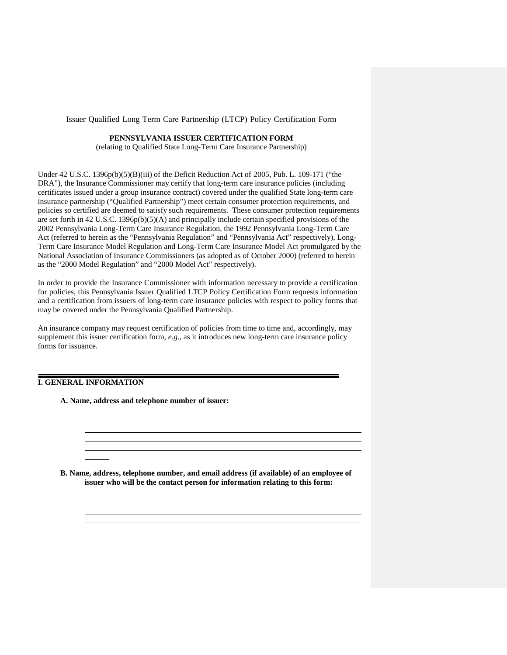Issuer Qualified Long Term Care Partnership (LTCP) Policy Certification Form

#### **PENNSYLVANIA ISSUER CERTIFICATION FORM**

(relating to Qualified State Long-Term Care Insurance Partnership)

Under 42 U.S.C. 1396p(b)(5)(B)(iii) of the Deficit Reduction Act of 2005, Pub. L. 109-171 ("the DRA"), the Insurance Commissioner may certify that long-term care insurance policies (including certificates issued under a group insurance contract) covered under the qualified State long-term care insurance partnership ("Qualified Partnership") meet certain consumer protection requirements, and policies so certified are deemed to satisfy such requirements. These consumer protection requirements are set forth in 42 U.S.C. 1396p(b)(5)(A) and principally include certain specified provisions of the 2002 Pennsylvania Long-Term Care Insurance Regulation, the 1992 Pennsylvania Long-Term Care Act (referred to herein as the "Pennsylvania Regulation" and "Pennsylvania Act" respectively), Long-Term Care Insurance Model Regulation and Long-Term Care Insurance Model Act promulgated by the National Association of Insurance Commissioners (as adopted as of October 2000) (referred to herein as the "2000 Model Regulation" and "2000 Model Act" respectively).

In order to provide the Insurance Commissioner with information necessary to provide a certification for policies, this Pennsylvania Issuer Qualified LTCP Policy Certification Form requests information and a certification from issuers of long-term care insurance policies with respect to policy forms that may be covered under the Pennsylvania Qualified Partnership.

An insurance company may request certification of policies from time to time and, accordingly, may supplement this issuer certification form, *e.g.*, as it introduces new long-term care insurance policy forms for issuance.

### **I. GENERAL INFORMATION**

**A. Name, address and telephone number of issuer:**

**B. Name, address, telephone number, and email address (if available) of an employee of issuer who will be the contact person for information relating to this form:**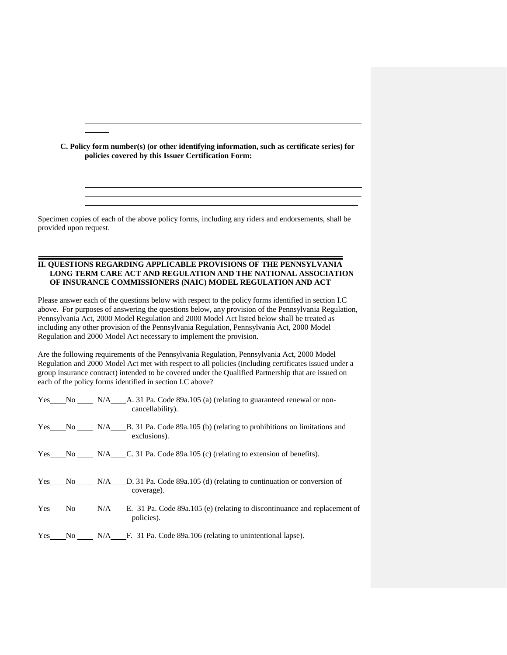**C. Policy form number(s) (or other identifying information, such as certificate series) for policies covered by this Issuer Certification Form:**

Specimen copies of each of the above policy forms, including any riders and endorsements, shall be provided upon request.

#### **II. QUESTIONS REGARDING APPLICABLE PROVISIONS OF THE PENNSYLVANIA LONG TERM CARE ACT AND REGULATION AND THE NATIONAL ASSOCIATION OF INSURANCE COMMISSIONERS (NAIC) MODEL REGULATION AND ACT**

Please answer each of the questions below with respect to the policy forms identified in section I.C above. For purposes of answering the questions below, any provision of the Pennsylvania Regulation, Pennsylvania Act, 2000 Model Regulation and 2000 Model Act listed below shall be treated as including any other provision of the Pennsylvania Regulation, Pennsylvania Act, 2000 Model Regulation and 2000 Model Act necessary to implement the provision.

Are the following requirements of the Pennsylvania Regulation, Pennsylvania Act, 2000 Model Regulation and 2000 Model Act met with respect to all policies (including certificates issued under a group insurance contract) intended to be covered under the Qualified Partnership that are issued on each of the policy forms identified in section I.C above?

|  | Yes No N/A A 31 Pa. Code 89a.105 (a) (relating to guaranteed renewal or non-<br>cancellability).   |  |
|--|----------------------------------------------------------------------------------------------------|--|
|  | Yes No N/A B. 31 Pa. Code 89a.105 (b) (relating to prohibitions on limitations and<br>exclusions). |  |
|  | Yes No N/A C. 31 Pa. Code 89a.105 (c) (relating to extension of benefits).                         |  |
|  | Yes No N/A D. 31 Pa. Code 89a.105 (d) (relating to continuation or conversion of<br>coverage).     |  |
|  | Yes No N/A E. 31 Pa. Code 89a.105 (e) (relating to discontinuance and replacement of<br>policies). |  |
|  | Yes No N/A F. 31 Pa. Code 89a.106 (relating to unintentional lapse).                               |  |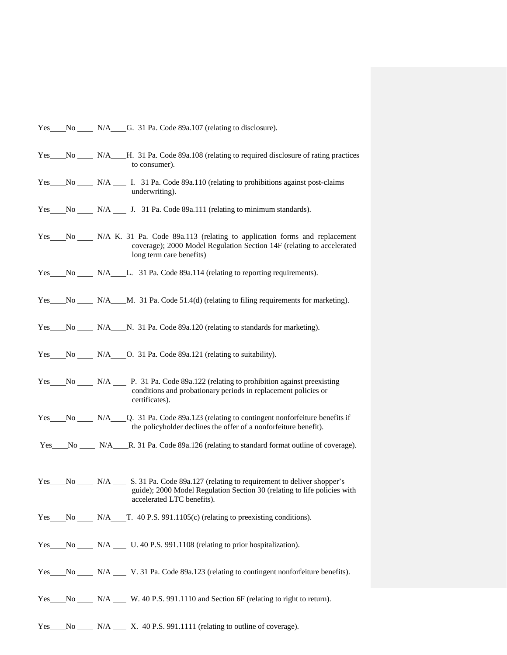Yes No N/A G. 31 Pa. Code 89a.107 (relating to disclosure).

- Yes No N/A H. 31 Pa. Code 89a.108 (relating to required disclosure of rating practices to consumer).
- Yes No N/A I. 31 Pa. Code 89a.110 (relating to prohibitions against post-claims underwriting).
- Yes No N/A J. 31 Pa. Code 89a.111 (relating to minimum standards).
- Yes No N/A K. 31 Pa. Code 89a.113 (relating to application forms and replacement coverage); 2000 Model Regulation Section 14F (relating to accelerated long term care benefits)
- Yes No N/A L. 31 Pa. Code 89a.114 (relating to reporting requirements).
- Yes No N/A M. 31 Pa. Code 51.4(d) (relating to filing requirements for marketing).
- Yes No N/A N. 31 Pa. Code 89a.120 (relating to standards for marketing).
- Yes No N/A O. 31 Pa. Code 89a.121 (relating to suitability).
- Yes No N/A P. 31 Pa. Code 89a.122 (relating to prohibition against preexisting conditions and probationary periods in replacement policies or certificates).
- Yes No N/A Q. 31 Pa. Code 89a.123 (relating to contingent nonforfeiture benefits if the policyholder declines the offer of a nonforfeiture benefit).
- Yes No N/A R. 31 Pa. Code 89a.126 (relating to standard format outline of coverage).
- Yes No N/A S. 31 Pa. Code 89a.127 (relating to requirement to deliver shopper's guide); 2000 Model Regulation Section 30 (relating to life policies with accelerated LTC benefits).
- Yes No N/A T. 40 P.S. 991.1105(c) (relating to preexisting conditions).
- Yes No N/A U. 40 P.S. 991.1108 (relating to prior hospitalization).
- Yes No N/A V. 31 Pa. Code 89a.123 (relating to contingent nonforfeiture benefits).
- Yes No N/A W. 40 P.S. 991.1110 and Section 6F (relating to right to return).
- $Yes$  No N/A  $X$ , 40 P.S. 991.1111 (relating to outline of coverage).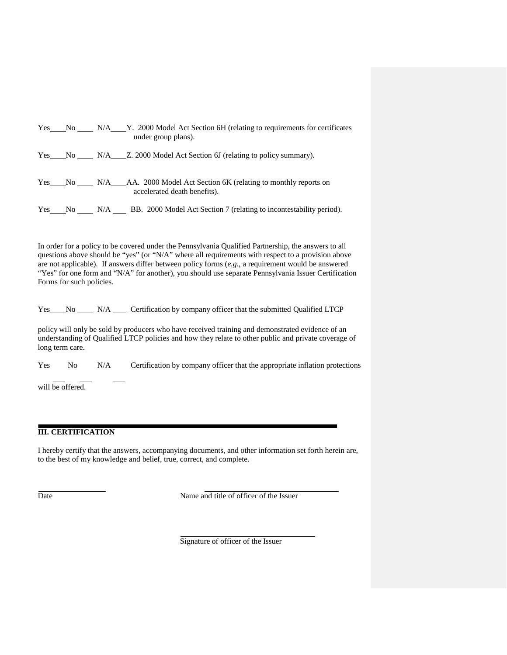|  | Yes No N/A Y. 2000 Model Act Section 6H (relating to requirements for certificates<br>under group plans). |
|--|-----------------------------------------------------------------------------------------------------------|
|  | Yes No N/A Z. 2000 Model Act Section 6J (relating to policy summary).                                     |
|  | Yes No N/A AA. 2000 Model Act Section 6K (relating to monthly reports on<br>accelerated death benefits).  |
|  | Yes No N/A BB. 2000 Model Act Section 7 (relating to incontestability period).                            |

In order for a policy to be covered under the Pennsylvania Qualified Partnership, the answers to all questions above should be "yes" (or "N/A" where all requirements with respect to a provision above are not applicable). If answers differ between policy forms (e.g., a requirement would be answered "Yes" for one form and "N/A" for another), you should use separate Pennsylvania Issuer Certification Forms for such policies.

Yes No N/A Certification by company officer that the submitted Qualified LTCP

policy will only be sold by producers who have received training and demonstrated evidence of an understanding of Qualified LTCP policies and how they relate to other public and private coverage of long term care.

Yes No N/A Certification by company officer that the appropriate inflation protections

will be offered.

## **III. CERTIFICATION**

I hereby certify that the answers, accompanying documents, and other information set forth herein are, to the best of my knowledge and belief, true, correct, and complete.

Date Name and title of officer of the Issuer

Signature of officer of the Issuer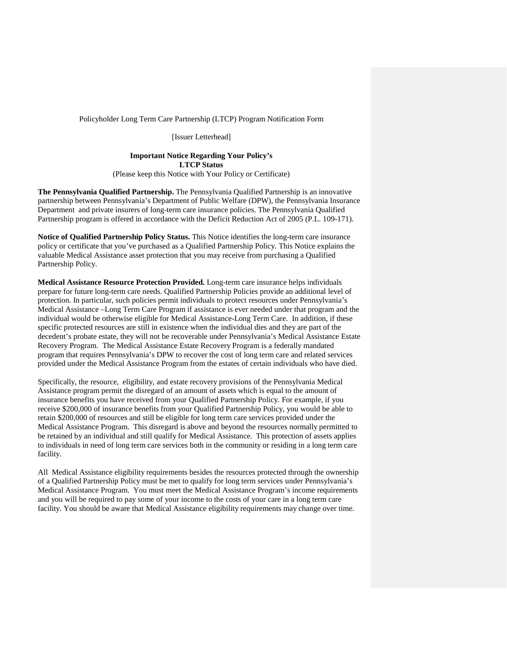Policyholder Long Term Care Partnership (LTCP) Program Notification Form

[Issuer Letterhead]

#### **Important Notice Regarding Your Policy's LTCP Status** (Please keep this Notice with Your Policy or Certificate)

**The Pennsylvania Qualified Partnership.** The Pennsylvania Qualified Partnership is an innovative partnership between Pennsylvania's Department of Public Welfare (DPW), the Pennsylvania Insurance Department and private insurers of long-term care insurance policies. The Pennsylvania Qualified Partnership program is offered in accordance with the Deficit Reduction Act of 2005 (P.L. 109-171).

**Notice of Qualified Partnership Policy Status.** This Notice identifies the long-term care insurance policy or certificate that you've purchased as a Qualified Partnership Policy. This Notice explains the valuable Medical Assistance asset protection that you may receive from purchasing a Qualified Partnership Policy.

**Medical Assistance Resource Protection Provided.** Long-term care insurance helps individuals prepare for future long-term care needs. Qualified Partnership Policies provide an additional level of protection. In particular, such policies permit individuals to protect resources under Pennsylvania's Medical Assistance –Long Term Care Program if assistance is ever needed under that program and the individual would be otherwise eligible for Medical Assistance-Long Term Care. In addition, if these specific protected resources are still in existence when the individual dies and they are part of the decedent's probate estate, they will not be recoverable under Pennsylvania's Medical Assistance Estate Recovery Program. The Medical Assistance Estate Recovery Program is a federally mandated program that requires Pennsylvania's DPW to recover the cost of long term care and related services provided under the Medical Assistance Program from the estates of certain individuals who have died.

Specifically, the resource, eligibility, and estate recovery provisions of the Pennsylvania Medical Assistance program permit the disregard of an amount of assets which is equal to the amount of insurance benefits you have received from your Qualified Partnership Policy. For example, if you receive \$200,000 of insurance benefits from your Qualified Partnership Policy, you would be able to retain \$200,000 of resources and still be eligible for long term care services provided under the Medical Assistance Program. This disregard is above and beyond the resources normally permitted to be retained by an individual and still qualify for Medical Assistance. This protection of assets applies to individuals in need of long term care services both in the community or residing in a long term care facility.

All Medical Assistance eligibility requirements besides the resources protected through the ownership of a Qualified Partnership Policy must be met to qualify for long term services under Pennsylvania's Medical Assistance Program. You must meet the Medical Assistance Program's income requirements and you will be required to pay some of your income to the costs of your care in a long term care facility. You should be aware that Medical Assistance eligibility requirements may change over time.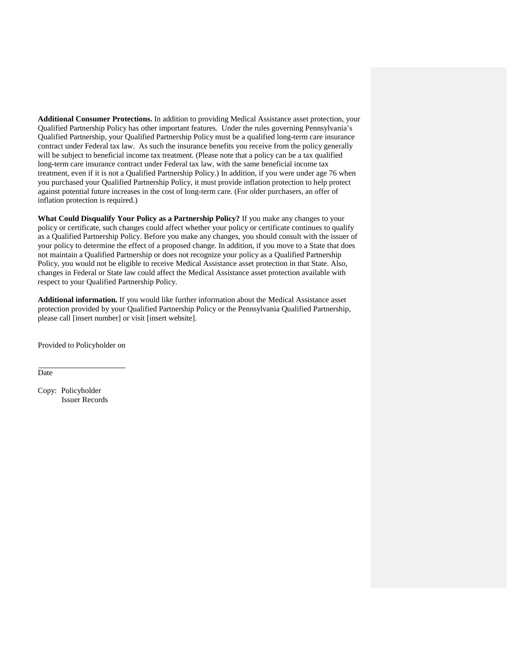**Additional Consumer Protections.** In addition to providing Medical Assistance asset protection, your Qualified Partnership Policy has other important features. Under the rules governing Pennsylvania's Qualified Partnership, your Qualified Partnership Policy must be a qualified long-term care insurance contract under Federal tax law. As such the insurance benefits you receive from the policy generally will be subject to beneficial income tax treatment. (Please note that a policy can be a tax qualified long-term care insurance contract under Federal tax law, with the same beneficial income tax treatment, even if it is not a Qualified Partnership Policy.) In addition, if you were under age 76 when you purchased your Qualified Partnership Policy, it must provide inflation protection to help protect against potential future increases in the cost of long-term care. (For older purchasers, an offer of inflation protection is required.)

**What Could Disqualify Your Policy as a Partnership Policy?** If you make any changes to your policy or certificate, such changes could affect whether your policy or certificate continues to qualify as a Qualified Partnership Policy. Before you make any changes, you should consult with the issuer of your policy to determine the effect of a proposed change. In addition, if you move to a State that does not maintain a Qualified Partnership or does not recognize your policy as a Qualified Partnership Policy, you would not be eligible to receive Medical Assistance asset protection in that State. Also, changes in Federal or State law could affect the Medical Assistance asset protection available with respect to your Qualified Partnership Policy.

**Additional information.** If you would like further information about the Medical Assistance asset protection provided by your Qualified Partnership Policy or the Pennsylvania Qualified Partnership, please call [insert number] or visit [insert website].

Provided to Policyholder on

Date

Copy: Policyholder Issuer Records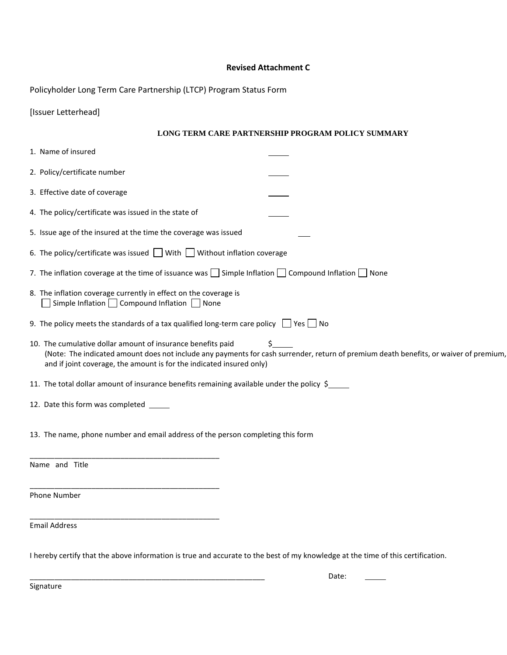### **Revised Attachment C**

Policyholder Long Term Care Partnership (LTCP) Program Status Form

# **LONG TERM CARE PARTNERSHIP PROGRAM POLICY SUMMARY**

| 1. Name of insured                                                                                                                  |                                                                                                                                             |  |
|-------------------------------------------------------------------------------------------------------------------------------------|---------------------------------------------------------------------------------------------------------------------------------------------|--|
| 2. Policy/certificate number                                                                                                        |                                                                                                                                             |  |
| 3. Effective date of coverage                                                                                                       |                                                                                                                                             |  |
| 4. The policy/certificate was issued in the state of                                                                                |                                                                                                                                             |  |
| 5. Issue age of the insured at the time the coverage was issued                                                                     |                                                                                                                                             |  |
| 6. The policy/certificate was issued $\Box$ With $\Box$ Without inflation coverage                                                  |                                                                                                                                             |  |
| 7. The inflation coverage at the time of issuance was $\Box$ Simple Inflation $\Box$ Compound Inflation $\Box$ None                 |                                                                                                                                             |  |
| 8. The inflation coverage currently in effect on the coverage is<br>Simple Inflation $\Box$ Compound Inflation $\Box$ None          |                                                                                                                                             |  |
| 9. The policy meets the standards of a tax qualified long-term care policy $\Box$ Yes $\Box$ No                                     |                                                                                                                                             |  |
| 10. The cumulative dollar amount of insurance benefits paid<br>and if joint coverage, the amount is for the indicated insured only) | S.<br>(Note: The indicated amount does not include any payments for cash surrender, return of premium death benefits, or waiver of premium, |  |
| 11. The total dollar amount of insurance benefits remaining available under the policy $\zeta$ ______                               |                                                                                                                                             |  |
| 12. Date this form was completed _____                                                                                              |                                                                                                                                             |  |
| 13. The name, phone number and email address of the person completing this form                                                     |                                                                                                                                             |  |
| Name and Title                                                                                                                      |                                                                                                                                             |  |
| Phone Number                                                                                                                        |                                                                                                                                             |  |
| <b>Email Address</b>                                                                                                                |                                                                                                                                             |  |
| I hereby certify that the above information is true and accurate to the best of my knowledge at the time of this certification.     |                                                                                                                                             |  |

 $\overline{\phantom{a}}$ 

\_\_\_\_\_\_\_\_\_\_\_\_\_\_\_\_\_\_\_\_\_\_\_\_\_\_\_\_\_\_\_\_\_\_\_\_\_\_\_\_\_\_\_\_\_\_\_\_\_\_\_\_\_\_\_\_\_ Date:

Signature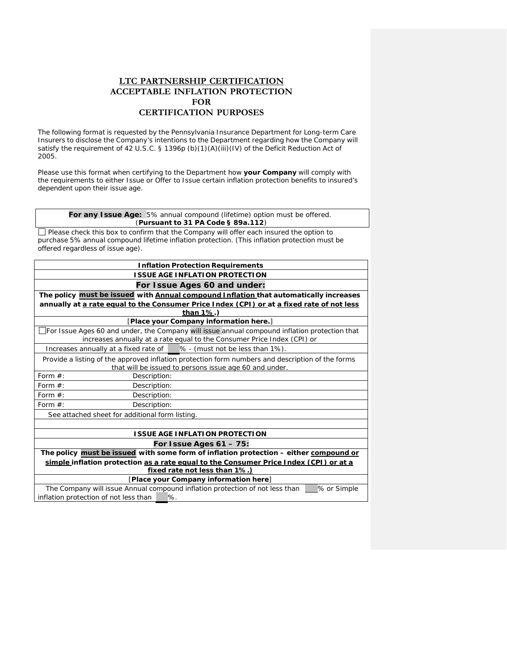# **LTC PARTNERSHIP CERTIFICATION ACCEPTABLE INFLATION PROTECTION FOR CERTIFICATION PURPOSES**

The following format is requested by the Pennsylvania Insurance Department for Long-term Care Insurers to disclose the Company's intentions to the Department regarding how the Company will satisfy the requirement of 42 U.S.C. § 1396p (b)(1)(A)(iii)(IV) of the Deficit Reduction Act of 2005.

Please use this format when certifying to the Department how **your Company** will comply with the requirements to either Issue or Offer to Issue certain inflation protection benefits to insured's dependent upon their issue age.

**For any Issue Age:** 5% annual compound (lifetime) option must be offered. (*Pursuant to 31 PA Code § 89a.112*)

Please check this box to confirm that the Company will offer each insured the option to purchase 5% annual compound lifetime inflation protection. (This inflation protection must be offered regardless of issue age).

| <b>Inflation Protection Requirements</b>                                                                                                                                 |                                                                                       |  |  |
|--------------------------------------------------------------------------------------------------------------------------------------------------------------------------|---------------------------------------------------------------------------------------|--|--|
| <b>ISSUE AGE INFLATION PROTECTION</b>                                                                                                                                    |                                                                                       |  |  |
|                                                                                                                                                                          | For Issue Ages 60 and under:                                                          |  |  |
|                                                                                                                                                                          | The policy must be issued with Annual compound Inflation that automatically increases |  |  |
| annually at a rate equal to the Consumer Price Index (CPI) or at a fixed rate of not less<br>than 1%.)                                                                   |                                                                                       |  |  |
|                                                                                                                                                                          | [Place your Company information here.]                                                |  |  |
| For Issue Ages 60 and under, the Company will issue annual compound inflation protection that<br>increases annually at a rate equal to the Consumer Price Index (CPI) or |                                                                                       |  |  |
| Increases annually at a fixed rate of   % - (must not be less than 1%).                                                                                                  |                                                                                       |  |  |
| Provide a listing of the approved inflation protection form numbers and description of the forms<br>that will be issued to persons issue age 60 and under.               |                                                                                       |  |  |
| Form $#$ :<br>Description:                                                                                                                                               |                                                                                       |  |  |
| Form $#$ :<br>Description:                                                                                                                                               |                                                                                       |  |  |
| Form $#$ :<br>Description:                                                                                                                                               |                                                                                       |  |  |
| Form $#$ :<br>Description:                                                                                                                                               |                                                                                       |  |  |
| See attached sheet for additional form listing.                                                                                                                          |                                                                                       |  |  |
|                                                                                                                                                                          |                                                                                       |  |  |
| <b>ISSUE AGE INFLATION PROTECTION</b>                                                                                                                                    |                                                                                       |  |  |
| For Issue Ages $61 - 75$ :                                                                                                                                               |                                                                                       |  |  |
| The policy must be issued with some form of inflation protection - either compound or                                                                                    |                                                                                       |  |  |
| simple inflation protection as a rate equal to the Consumer Price Index (CPI) or at a                                                                                    |                                                                                       |  |  |
| fixed rate not less than 1%.)                                                                                                                                            |                                                                                       |  |  |
| [Place your Company information here]                                                                                                                                    |                                                                                       |  |  |
| The Company will issue Annual compound inflation protection of not less than<br>% or Simple<br>inflation protection of not less than<br>%.                               |                                                                                       |  |  |
|                                                                                                                                                                          |                                                                                       |  |  |